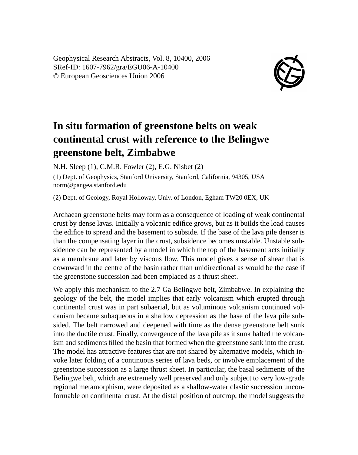Geophysical Research Abstracts, Vol. 8, 10400, 2006 SRef-ID: 1607-7962/gra/EGU06-A-10400 © European Geosciences Union 2006



## **In situ formation of greenstone belts on weak continental crust with reference to the Belingwe greenstone belt, Zimbabwe**

N.H. Sleep (1), C.M.R. Fowler (2), E.G. Nisbet (2)

(1) Dept. of Geophysics, Stanford University, Stanford, California, 94305, USA norm@pangea.stanford.edu

(2) Dept. of Geology, Royal Holloway, Univ. of London, Egham TW20 0EX, UK

Archaean greenstone belts may form as a consequence of loading of weak continental crust by dense lavas. Initially a volcanic edifice grows, but as it builds the load causes the edifice to spread and the basement to subside. If the base of the lava pile denser is than the compensating layer in the crust, subsidence becomes unstable. Unstable subsidence can be represented by a model in which the top of the basement acts initially as a membrane and later by viscous flow. This model gives a sense of shear that is downward in the centre of the basin rather than unidirectional as would be the case if the greenstone succession had been emplaced as a thrust sheet.

We apply this mechanism to the 2.7 Ga Belingwe belt, Zimbabwe. In explaining the geology of the belt, the model implies that early volcanism which erupted through continental crust was in part subaerial, but as voluminous volcanism continued volcanism became subaqueous in a shallow depression as the base of the lava pile subsided. The belt narrowed and deepened with time as the dense greenstone belt sunk into the ductile crust. Finally, convergence of the lava pile as it sunk halted the volcanism and sediments filled the basin that formed when the greenstone sank into the crust. The model has attractive features that are not shared by alternative models, which invoke later folding of a continuous series of lava beds, or involve emplacement of the greenstone succession as a large thrust sheet. In particular, the basal sediments of the Belingwe belt, which are extremely well preserved and only subject to very low-grade regional metamorphism, were deposited as a shallow-water clastic succession unconformable on continental crust. At the distal position of outcrop, the model suggests the